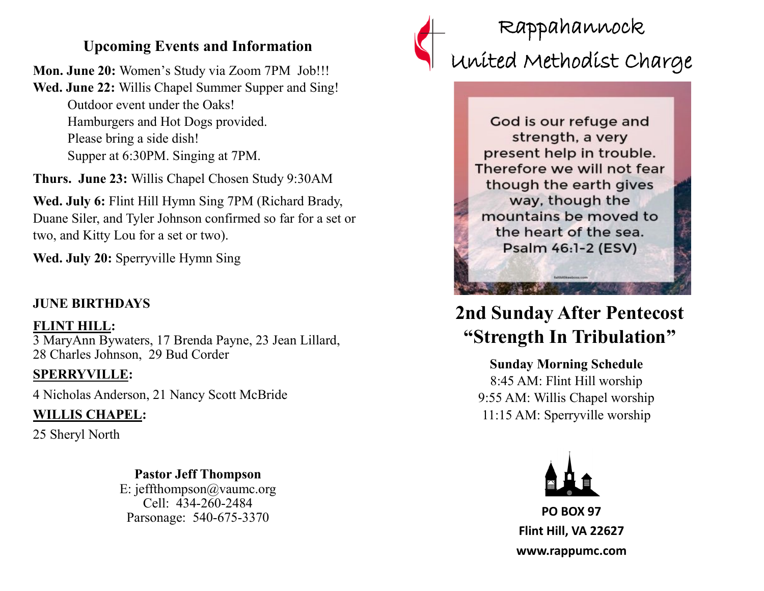### **Upcoming Events and Information**

**Mon. June 20:** Women's Study via Zoom 7PM Job!!! **Wed. June 22:** Willis Chapel Summer Supper and Sing! Outdoor event under the Oaks! Hamburgers and Hot Dogs provided. Please bring a side dish! Supper at 6:30PM. Singing at 7PM.

**Thurs. June 23:** Willis Chapel Chosen Study 9:30AM

**Wed. July 6:** Flint Hill Hymn Sing 7PM (Richard Brady, Duane Siler, and Tyler Johnson confirmed so far for a set or two, and Kitty Lou for a set or two).

**Wed. July 20:** Sperryville Hymn Sing

### **JUNE BIRTHDAYS**

**FLINT HILL:**  3 MaryAnn Bywaters, 17 Brenda Payne, 23 Jean Lillard, 28 Charles Johnson, 29 Bud Corder

### **SPERRYVILLE:**

4 Nicholas Anderson, 21 Nancy Scott McBride

### **WILLIS CHAPEL:**

25 Sheryl North

# **Pastor Jeff Thompson**

E: jeffthompson@vaumc.org Cell: 434-260-2484 Parsonage: 540-675-3370



# Rappahannock United Methodist Charge

God is our refuge and strength, a very present help in trouble. Therefore we will not fear though the earth gives way, though the mountains be moved to the heart of the sea. Psalm 46:1-2 (ESV)

## **2nd Sunday After Pentecost "Strength In Tribulation"**

### **Sunday Morning Schedule**

8:45 AM: Flint Hill worship 9:55 AM: Willis Chapel worship 11:15 AM: Sperryville worship



**PO BOX 97 Flint Hill, VA 22627 www.rappumc.com**